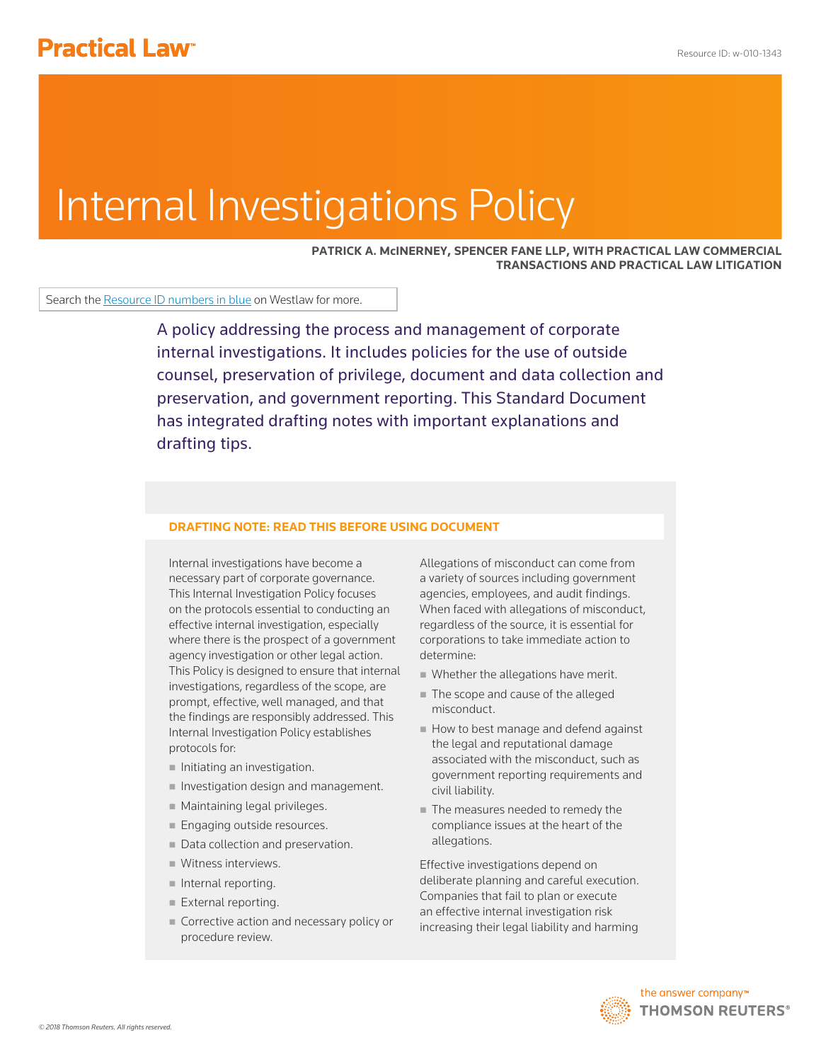# Internal Investigations Policy

**PATRICK A. McINERNEY, SPENCER FANE LLP, WITH PRACTICAL LAW COMMERCIAL TRANSACTIONS AND PRACTICAL LAW LITIGATION**

Search the Resource ID numbers in blue on Westlaw for more.

A policy addressing the process and management of corporate internal investigations. It includes policies for the use of outside counsel, preservation of privilege, document and data collection and preservation, and government reporting. This Standard Document has integrated drafting notes with important explanations and drafting tips.

# **DRAFTING NOTE: READ THIS BEFORE USING DOCUMENT**

Internal investigations have become a necessary part of corporate governance. This Internal Investigation Policy focuses on the protocols essential to conducting an effective internal investigation, especially where there is the prospect of a government agency investigation or other legal action. This Policy is designed to ensure that internal investigations, regardless of the scope, are prompt, effective, well managed, and that the findings are responsibly addressed. This Internal Investigation Policy establishes protocols for:

- Initiating an investigation.
- Investigation design and management.
- **Maintaining legal privileges.**
- **Engaging outside resources.**
- Data collection and preservation.
- **Witness interviews.**
- Internal reporting.
- External reporting.
- Corrective action and necessary policy or procedure review.

Allegations of misconduct can come from a variety of sources including government agencies, employees, and audit findings. When faced with allegations of misconduct, regardless of the source, it is essential for corporations to take immediate action to determine:

- Whether the allegations have merit.
- The scope and cause of the alleged misconduct.
- How to best manage and defend against the legal and reputational damage associated with the misconduct, such as government reporting requirements and civil liability.
- The measures needed to remedy the compliance issues at the heart of the allegations.

Effective investigations depend on deliberate planning and careful execution. Companies that fail to plan or execute an effective internal investigation risk increasing their legal liability and harming

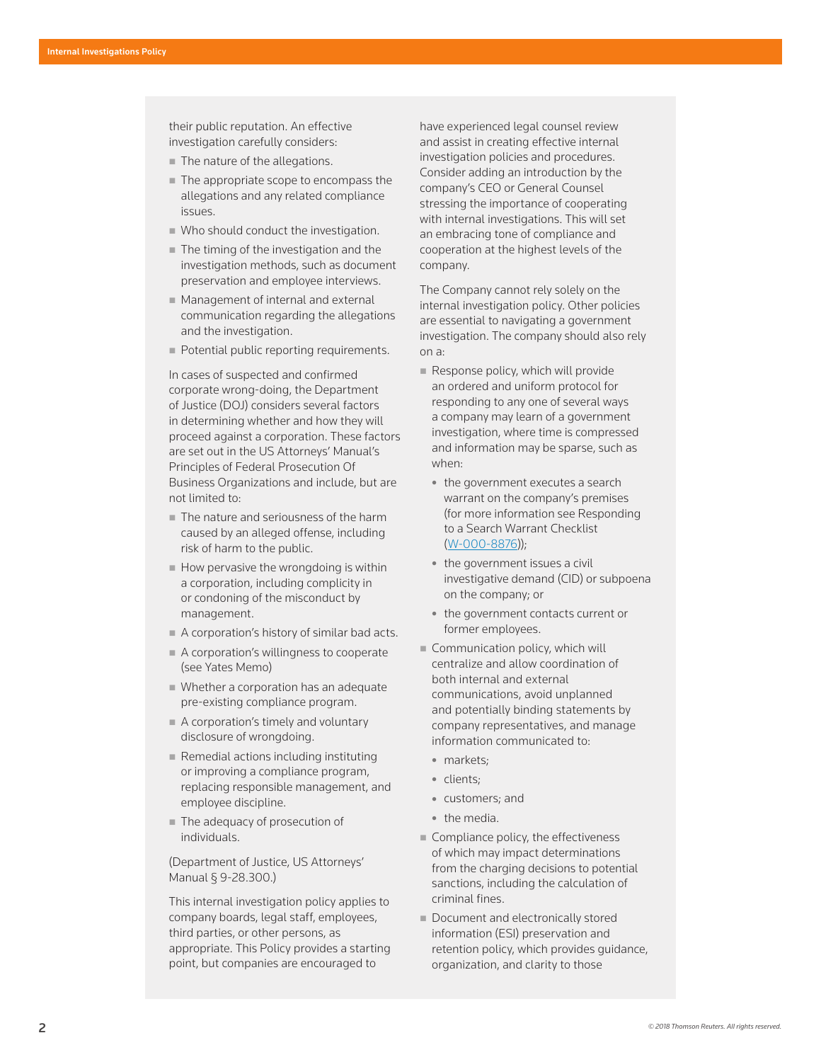their public reputation. An effective investigation carefully considers:

- The nature of the allegations.
- $\blacksquare$  The appropriate scope to encompass the allegations and any related compliance issues.
- Who should conduct the investigation.
- The timing of the investigation and the investigation methods, such as document preservation and employee interviews.
- **Management of internal and external** communication regarding the allegations and the investigation.
- Potential public reporting requirements.

In cases of suspected and confirmed corporate wrong-doing, the Department of Justice (DOJ) considers several factors in determining whether and how they will proceed against a corporation. These factors are set out in the US Attorneys' Manual's Principles of Federal Prosecution Of Business Organizations and include, but are not limited to:

- $\blacksquare$  The nature and seriousness of the harm caused by an alleged offense, including risk of harm to the public.
- $\blacksquare$  How pervasive the wrongdoing is within a corporation, including complicity in or condoning of the misconduct by management.
- A corporation's history of similar bad acts.
- A corporation's willingness to cooperate (see Yates Memo)
- Whether a corporation has an adequate pre-existing compliance program.
- A corporation's timely and voluntary disclosure of wrongdoing.
- Remedial actions including instituting or improving a compliance program, replacing responsible management, and employee discipline.
- The adequacy of prosecution of individuals.

(Department of Justice, US Attorneys' Manual § 9-28.300.)

This internal investigation policy applies to company boards, legal staff, employees, third parties, or other persons, as appropriate. This Policy provides a starting point, but companies are encouraged to

have experienced legal counsel review and assist in creating effective internal investigation policies and procedures. Consider adding an introduction by the company's CEO or General Counsel stressing the importance of cooperating with internal investigations. This will set an embracing tone of compliance and cooperation at the highest levels of the company.

The Company cannot rely solely on the internal investigation policy. Other policies are essential to navigating a government investigation. The company should also rely on a:

- $\blacksquare$  Response policy, which will provide an ordered and uniform protocol for responding to any one of several ways a company may learn of a government investigation, where time is compressed and information may be sparse, such as when:
	- $\bullet$  the government executes a search warrant on the company's premises (for more information see Responding to a Search Warrant Checklist (W-000-8876));
	- $\bullet$  the government issues a civil investigative demand (CID) or subpoena on the company; or
	- the government contacts current or former employees.
- Communication policy, which will centralize and allow coordination of both internal and external communications, avoid unplanned and potentially binding statements by company representatives, and manage information communicated to:
	- markets;
	- clients:
	- customers; and
	- the media.
- Compliance policy, the effectiveness of which may impact determinations from the charging decisions to potential sanctions, including the calculation of criminal fines.
- Document and electronically stored information (ESI) preservation and retention policy, which provides guidance, organization, and clarity to those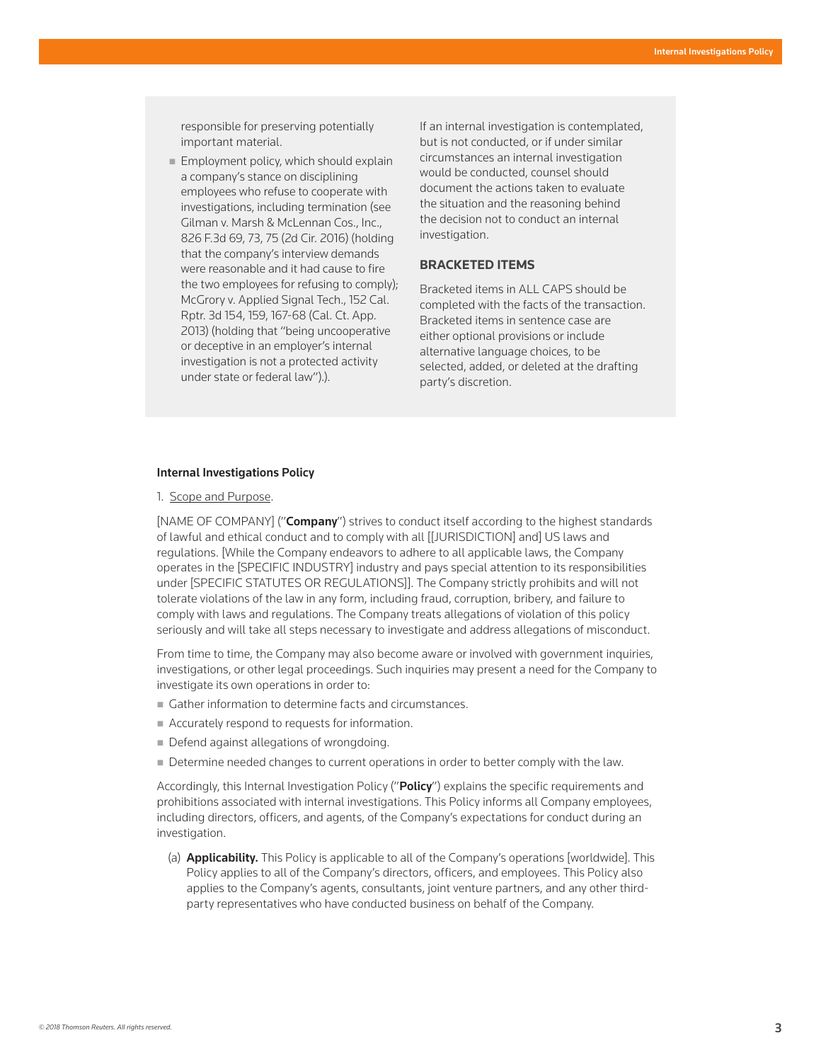responsible for preserving potentially important material.

**Employment policy, which should explain** a company's stance on disciplining employees who refuse to cooperate with investigations, including termination (see Gilman v. Marsh & McLennan Cos., Inc., 826 F.3d 69, 73, 75 (2d Cir. 2016) (holding that the company's interview demands were reasonable and it had cause to fire the two employees for refusing to comply); McGrory v. Applied Signal Tech., 152 Cal. Rptr. 3d 154, 159, 167-68 (Cal. Ct. App. 2013) (holding that "being uncooperative or deceptive in an employer's internal investigation is not a protected activity under state or federal law").).

If an internal investigation is contemplated, but is not conducted, or if under similar circumstances an internal investigation would be conducted, counsel should document the actions taken to evaluate the situation and the reasoning behind the decision not to conduct an internal investigation.

## **BRACKETED ITEMS**

Bracketed items in ALL CAPS should be completed with the facts of the transaction. Bracketed items in sentence case are either optional provisions or include alternative language choices, to be selected, added, or deleted at the drafting party's discretion.

## Internal Investigations Policy

## 1. Scope and Purpose.

[NAME OF COMPANY] ("Company") strives to conduct itself according to the highest standards of lawful and ethical conduct and to comply with all [[JURISDICTION] and] US laws and regulations. [While the Company endeavors to adhere to all applicable laws, the Company operates in the [SPECIFIC INDUSTRY] industry and pays special attention to its responsibilities under [SPECIFIC STATUTES OR REGULATIONS]]. The Company strictly prohibits and will not tolerate violations of the law in any form, including fraud, corruption, bribery, and failure to comply with laws and regulations. The Company treats allegations of violation of this policy seriously and will take all steps necessary to investigate and address allegations of misconduct.

From time to time, the Company may also become aware or involved with government inquiries, investigations, or other legal proceedings. Such inquiries may present a need for the Company to investigate its own operations in order to:

- Gather information to determine facts and circumstances.
- Accurately respond to requests for information.
- Defend against allegations of wrongdoing.
- Determine needed changes to current operations in order to better comply with the law.

Accordingly, this Internal Investigation Policy ("Policy") explains the specific requirements and prohibitions associated with internal investigations. This Policy informs all Company employees, including directors, officers, and agents, of the Company's expectations for conduct during an investigation.

(a) **Applicability.** This Policy is applicable to all of the Company's operations [worldwide]. This Policy applies to all of the Company's directors, officers, and employees. This Policy also applies to the Company's agents, consultants, joint venture partners, and any other thirdparty representatives who have conducted business on behalf of the Company.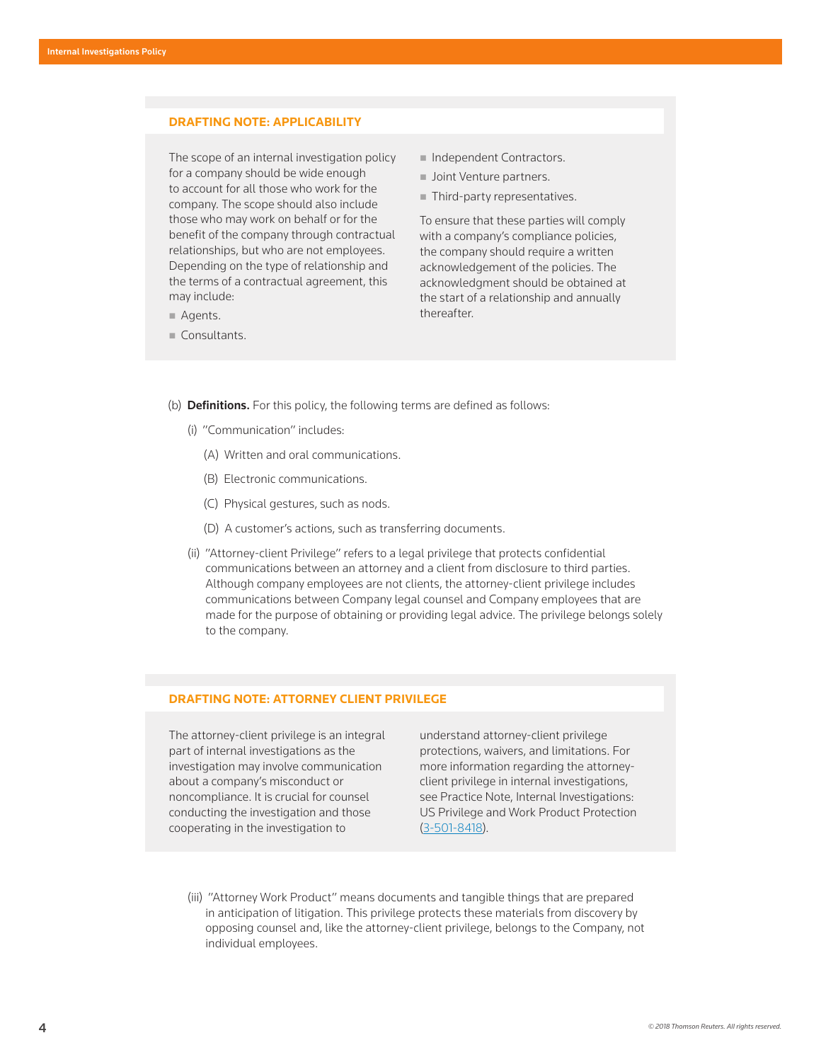## **DRAFTING NOTE: APPLICABILITY**

The scope of an internal investigation policy for a company should be wide enough to account for all those who work for the company. The scope should also include those who may work on behalf or for the benefit of the company through contractual relationships, but who are not employees. Depending on the type of relationship and the terms of a contractual agreement, this may include:

- Agents.
- Consultants.
- Independent Contractors.
- **Joint Venture partners.**
- Third-party representatives.

To ensure that these parties will comply with a company's compliance policies, the company should require a written acknowledgement of the policies. The acknowledgment should be obtained at the start of a relationship and annually thereafter.

- (b) **Definitions.** For this policy, the following terms are defined as follows:
	- (i) "Communication" includes:
		- (A) Written and oral communications.
		- (B) Electronic communications.
		- (C) Physical gestures, such as nods.
		- (D) A customer's actions, such as transferring documents.
	- (ii) "Attorney-client Privilege" refers to a legal privilege that protects confidential communications between an attorney and a client from disclosure to third parties. Although company employees are not clients, the attorney-client privilege includes communications between Company legal counsel and Company employees that are made for the purpose of obtaining or providing legal advice. The privilege belongs solely to the company.

## **DRAFTING NOTE: ATTORNEY CLIENT PRIVILEGE**

The attorney-client privilege is an integral part of internal investigations as the investigation may involve communication about a company's misconduct or noncompliance. It is crucial for counsel conducting the investigation and those cooperating in the investigation to

understand attorney-client privilege protections, waivers, and limitations. For more information regarding the attorneyclient privilege in internal investigations, see Practice Note, Internal Investigations: US Privilege and Work Product Protection (3-501-8418).

(iii) "Attorney Work Product" means documents and tangible things that are prepared in anticipation of litigation. This privilege protects these materials from discovery by opposing counsel and, like the attorney-client privilege, belongs to the Company, not individual employees.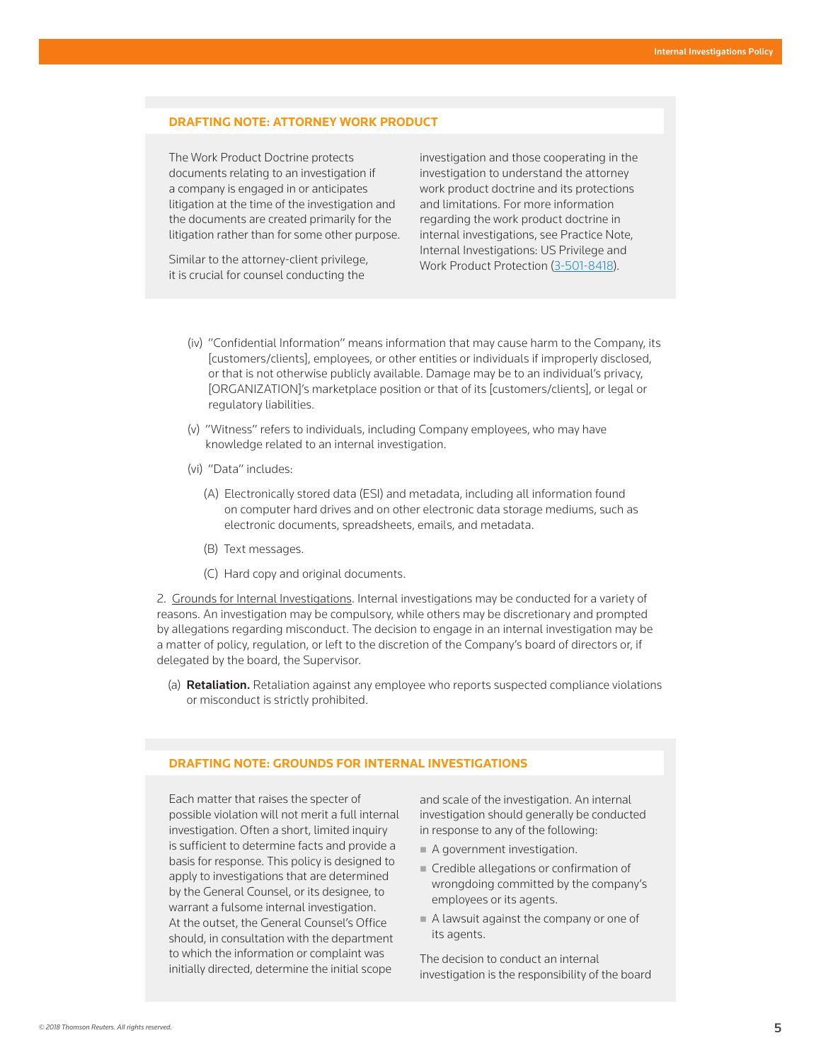## **DRAFTING NOTE: ATTORNEY WORK PRODUCT**

The Work Product Doctrine protects documents relating to an investigation if a company is engaged in or anticipates litigation at the time of the investigation and the documents are created primarily for the litigation rather than for some other purpose.

Similar to the attorney-client privilege, it is crucial for counsel conducting the

investigation and those cooperating in the investigation to understand the attorney work product doctrine and its protections and limitations. For more information regarding the work product doctrine in internal investigations, see Practice Note, Internal Investigations: US Privilege and Work Product Protection (3-501-8418).

- (iv) "Confidential Information" means information that may cause harm to the Company, its [customers/clients], employees, or other entities or individuals if improperly disclosed, or that is not otherwise publicly available. Damage may be to an individual's privacy, [ORGANIZATION]'s marketplace position or that of its [customers/clients], or legal or regulatory liabilities.
- (v) "Witness" refers to individuals, including Company employees, who may have knowledge related to an internal investigation.
- (vi) "Data" includes:
	- (A) Electronically stored data (ESI) and metadata, including all information found on computer hard drives and on other electronic data storage mediums, such as electronic documents, spreadsheets, emails, and metadata.
	- (B) Text messages.
	- (C) Hard copy and original documents.

2. Grounds for Internal Investigations. Internal investigations may be conducted for a variety of reasons. An investigation may be compulsory, while others may be discretionary and prompted by allegations regarding misconduct. The decision to engage in an internal investigation may be a matter of policy, regulation, or left to the discretion of the Company's board of directors or, if delegated by the board, the Supervisor.

(a) **Retaliation.** Retaliation against any employee who reports suspected compliance violations or misconduct is strictly prohibited.

## **DRAFTING NOTE: GROUNDS FOR INTERNAL INVESTIGATIONS**

Each matter that raises the specter of possible violation will not merit a full internal investigation. Often a short, limited inquiry is sufficient to determine facts and provide a basis for response. This policy is designed to apply to investigations that are determined by the General Counsel, or its designee, to warrant a fulsome internal investigation. At the outset, the General Counsel's Office should, in consultation with the department to which the information or complaint was initially directed, determine the initial scope

and scale of the investigation. An internal investigation should generally be conducted in response to any of the following:

- A government investigation.
- **Credible allegations or confirmation of** wrongdoing committed by the company's employees or its agents.
- A lawsuit against the company or one of its agents.

The decision to conduct an internal investigation is the responsibility of the board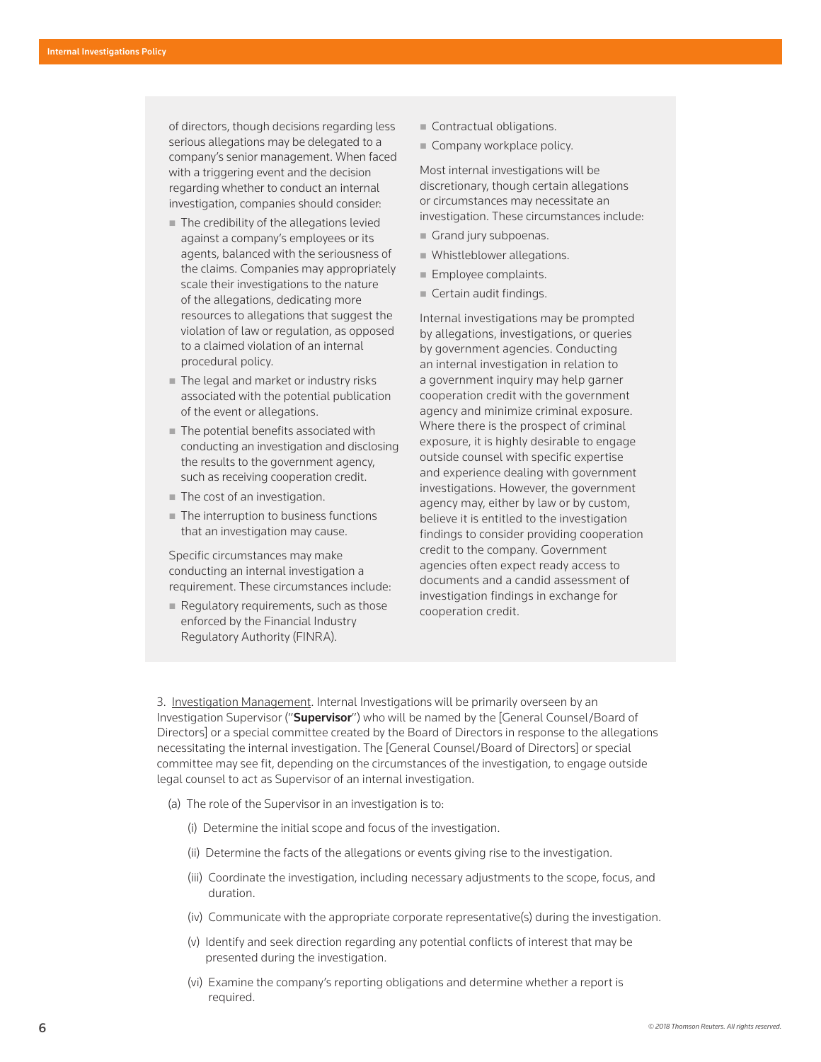of directors, though decisions regarding less serious allegations may be delegated to a company's senior management. When faced with a triggering event and the decision regarding whether to conduct an internal investigation, companies should consider:

- The credibility of the allegations levied against a company's employees or its agents, balanced with the seriousness of the claims. Companies may appropriately scale their investigations to the nature of the allegations, dedicating more resources to allegations that suggest the violation of law or regulation, as opposed to a claimed violation of an internal procedural policy.
- The legal and market or industry risks associated with the potential publication of the event or allegations.
- The potential benefits associated with conducting an investigation and disclosing the results to the government agency, such as receiving cooperation credit.
- The cost of an investigation.
- The interruption to business functions that an investigation may cause.

Specific circumstances may make conducting an internal investigation a requirement. These circumstances include:

Regulatory requirements, such as those enforced by the Financial Industry Regulatory Authority (FINRA).

- Contractual obligations.
- Company workplace policy.

Most internal investigations will be discretionary, though certain allegations or circumstances may necessitate an investigation. These circumstances include:

- Grand jury subpoenas.
- Whistleblower allegations.
- **Employee complaints.**
- Certain audit findings.

Internal investigations may be prompted by allegations, investigations, or queries by government agencies. Conducting an internal investigation in relation to a government inquiry may help garner cooperation credit with the government agency and minimize criminal exposure. Where there is the prospect of criminal exposure, it is highly desirable to engage outside counsel with specific expertise and experience dealing with government investigations. However, the government agency may, either by law or by custom, believe it is entitled to the investigation findings to consider providing cooperation credit to the company. Government agencies often expect ready access to documents and a candid assessment of investigation findings in exchange for cooperation credit.

3. Investigation Management. Internal Investigations will be primarily overseen by an Investigation Supervisor ("Supervisor") who will be named by the [General Counsel/Board of Directors] or a special committee created by the Board of Directors in response to the allegations necessitating the internal investigation. The [General Counsel/Board of Directors] or special committee may see fit, depending on the circumstances of the investigation, to engage outside legal counsel to act as Supervisor of an internal investigation.

- (a) The role of the Supervisor in an investigation is to:
	- (i) Determine the initial scope and focus of the investigation.
	- (ii) Determine the facts of the allegations or events giving rise to the investigation.
	- (iii) Coordinate the investigation, including necessary adjustments to the scope, focus, and duration.
	- (iv) Communicate with the appropriate corporate representative(s) during the investigation.
	- (v) Identify and seek direction regarding any potential conflicts of interest that may be presented during the investigation.
	- (vi) Examine the company's reporting obligations and determine whether a report is required.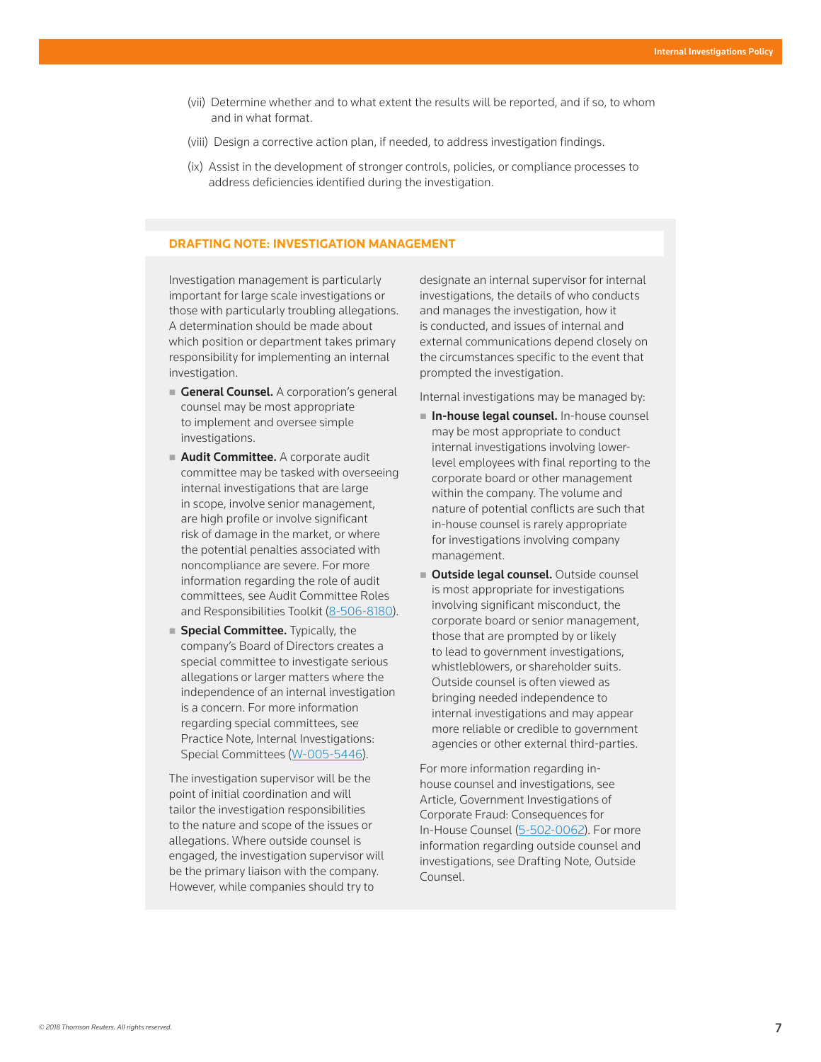- (vii) Determine whether and to what extent the results will be reported, and if so, to whom and in what format.
- (viii) Design a corrective action plan, if needed, to address investigation findings.
- (ix) Assist in the development of stronger controls, policies, or compliance processes to address deficiencies identified during the investigation.

## **DRAFTING NOTE: INVESTIGATION MANAGEMENT**

Investigation management is particularly important for large scale investigations or those with particularly troubling allegations. A determination should be made about which position or department takes primary responsibility for implementing an internal investigation.

- General Counsel. A corporation's general counsel may be most appropriate to implement and oversee simple investigations.
- Audit Committee. A corporate audit committee may be tasked with overseeing internal investigations that are large in scope, involve senior management, are high profile or involve significant risk of damage in the market, or where the potential penalties associated with noncompliance are severe. For more information regarding the role of audit committees, see Audit Committee Roles and Responsibilities Toolkit (8-506-8180).
- **Special Committee.** Typically, the company's Board of Directors creates a special committee to investigate serious allegations or larger matters where the independence of an internal investigation is a concern. For more information regarding special committees, see Practice Note, Internal Investigations: Special Committees (W-005-5446).

The investigation supervisor will be the point of initial coordination and will tailor the investigation responsibilities to the nature and scope of the issues or allegations. Where outside counsel is engaged, the investigation supervisor will be the primary liaison with the company. However, while companies should try to

designate an internal supervisor for internal investigations, the details of who conducts and manages the investigation, how it is conducted, and issues of internal and external communications depend closely on the circumstances specific to the event that prompted the investigation.

Internal investigations may be managed by:

- **In-house legal counsel.** In-house counsel may be most appropriate to conduct internal investigations involving lowerlevel employees with final reporting to the corporate board or other management within the company. The volume and nature of potential conflicts are such that in-house counsel is rarely appropriate for investigations involving company management.
- **Outside legal counsel.** Outside counsel is most appropriate for investigations involving significant misconduct, the corporate board or senior management, those that are prompted by or likely to lead to government investigations, whistleblowers, or shareholder suits. Outside counsel is often viewed as bringing needed independence to internal investigations and may appear more reliable or credible to government agencies or other external third-parties.

For more information regarding inhouse counsel and investigations, see Article, Government Investigations of Corporate Fraud: Consequences for In-House Counsel (5-502-0062). For more information regarding outside counsel and investigations, see Drafting Note, Outside Counsel.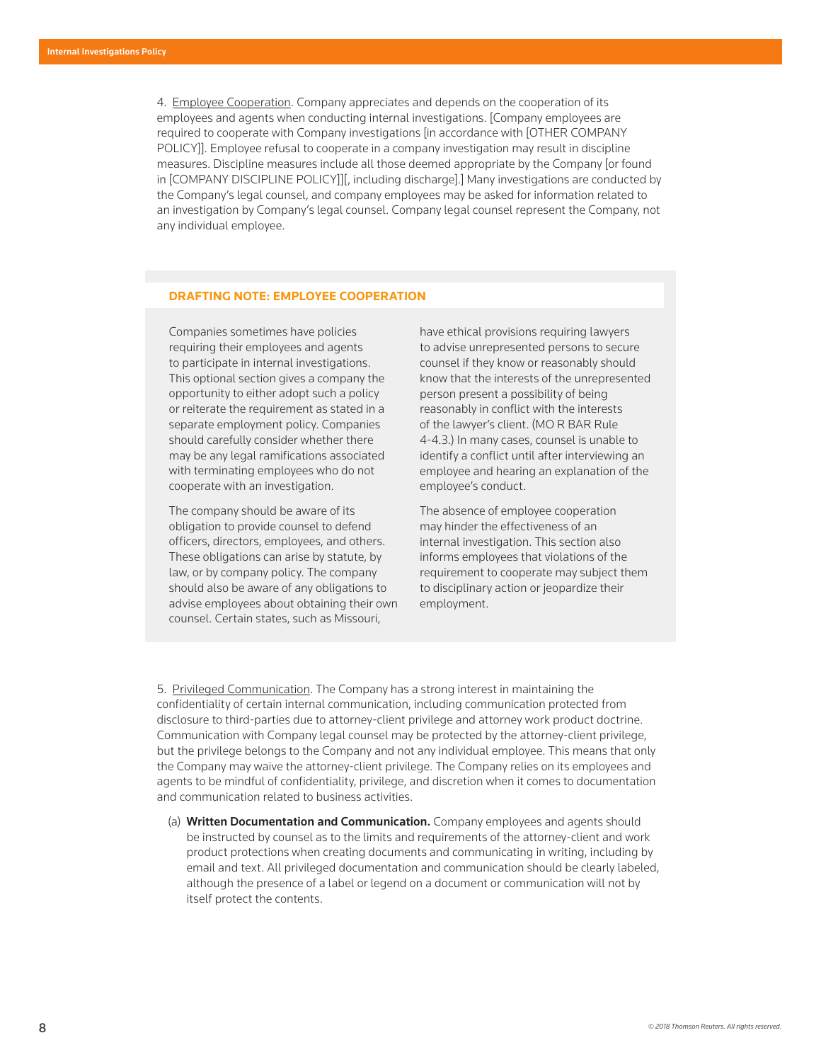4. Employee Cooperation. Company appreciates and depends on the cooperation of its employees and agents when conducting internal investigations. [Company employees are required to cooperate with Company investigations [in accordance with [OTHER COMPANY POLICY]]. Employee refusal to cooperate in a company investigation may result in discipline measures. Discipline measures include all those deemed appropriate by the Company [or found in [COMPANY DISCIPLINE POLICY]][, including discharge].] Many investigations are conducted by the Company's legal counsel, and company employees may be asked for information related to an investigation by Company's legal counsel. Company legal counsel represent the Company, not any individual employee.

# **DRAFTING NOTE: EMPLOYEE COOPERATION**

Companies sometimes have policies requiring their employees and agents to participate in internal investigations. This optional section gives a company the opportunity to either adopt such a policy or reiterate the requirement as stated in a separate employment policy. Companies should carefully consider whether there may be any legal ramifications associated with terminating employees who do not cooperate with an investigation.

The company should be aware of its obligation to provide counsel to defend officers, directors, employees, and others. These obligations can arise by statute, by law, or by company policy. The company should also be aware of any obligations to advise employees about obtaining their own counsel. Certain states, such as Missouri,

have ethical provisions requiring lawyers to advise unrepresented persons to secure counsel if they know or reasonably should know that the interests of the unrepresented person present a possibility of being reasonably in conflict with the interests of the lawyer's client. (MO R BAR Rule 4-4.3.) In many cases, counsel is unable to identify a conflict until after interviewing an employee and hearing an explanation of the employee's conduct.

The absence of employee cooperation may hinder the effectiveness of an internal investigation. This section also informs employees that violations of the requirement to cooperate may subject them to disciplinary action or jeopardize their employment.

5. Privileged Communication. The Company has a strong interest in maintaining the confidentiality of certain internal communication, including communication protected from disclosure to third-parties due to attorney-client privilege and attorney work product doctrine. Communication with Company legal counsel may be protected by the attorney-client privilege, but the privilege belongs to the Company and not any individual employee. This means that only the Company may waive the attorney-client privilege. The Company relies on its employees and agents to be mindful of confidentiality, privilege, and discretion when it comes to documentation and communication related to business activities.

(a) **Written Documentation and Communication.** Company employees and agents should be instructed by counsel as to the limits and requirements of the attorney-client and work product protections when creating documents and communicating in writing, including by email and text. All privileged documentation and communication should be clearly labeled, although the presence of a label or legend on a document or communication will not by itself protect the contents.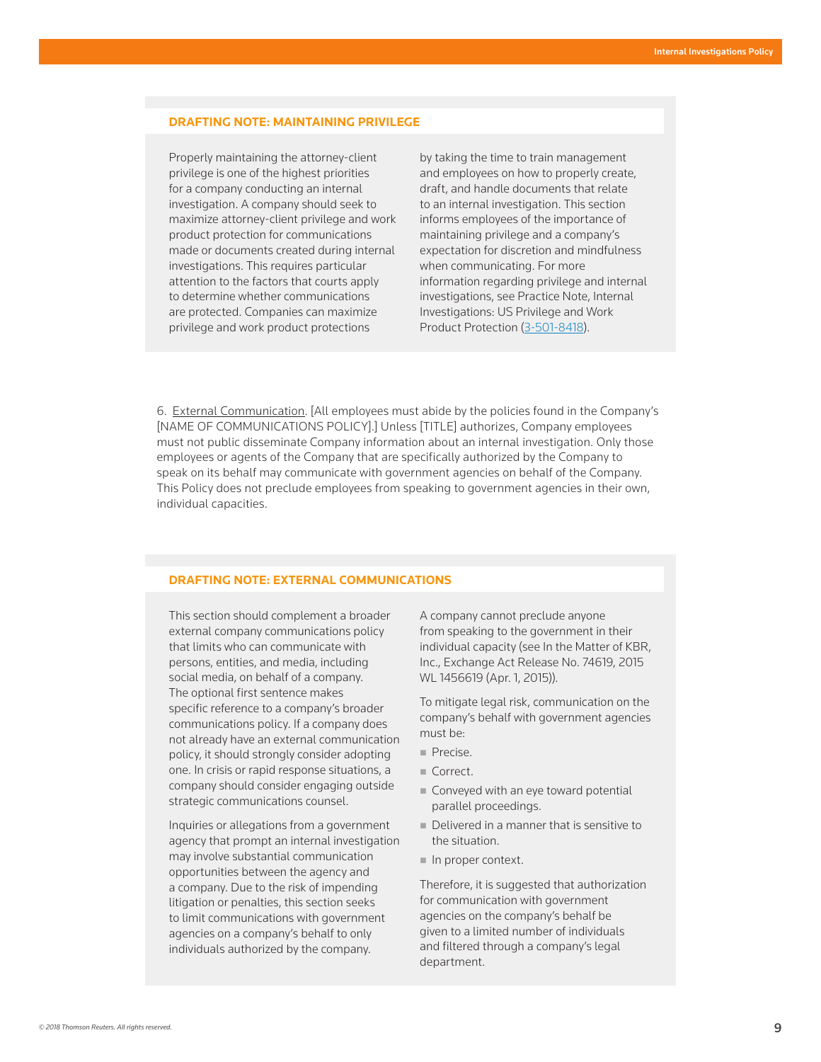## **DRAFTING NOTE: MAINTAINING PRIVILEGE**

Properly maintaining the attorney-client privilege is one of the highest priorities for a company conducting an internal investigation. A company should seek to maximize attorney-client privilege and work product protection for communications made or documents created during internal investigations. This requires particular attention to the factors that courts apply to determine whether communications are protected. Companies can maximize privilege and work product protections

by taking the time to train management and employees on how to properly create, draft, and handle documents that relate to an internal investigation. This section informs employees of the importance of maintaining privilege and a company's expectation for discretion and mindfulness when communicating. For more information regarding privilege and internal investigations, see Practice Note, Internal Investigations: US Privilege and Work Product Protection (3-501-8418).

6. External Communication. [All employees must abide by the policies found in the Company's [NAME OF COMMUNICATIONS POLICY].] Unless [TITLE] authorizes, Company employees must not public disseminate Company information about an internal investigation. Only those employees or agents of the Company that are specifically authorized by the Company to speak on its behalf may communicate with government agencies on behalf of the Company. This Policy does not preclude employees from speaking to government agencies in their own, individual capacities.

## **DRAFTING NOTE: EXTERNAL COMMUNICATIONS**

This section should complement a broader external company communications policy that limits who can communicate with persons, entities, and media, including social media, on behalf of a company. The optional first sentence makes specific reference to a company's broader communications policy. If a company does not already have an external communication policy, it should strongly consider adopting one. In crisis or rapid response situations, a company should consider engaging outside strategic communications counsel.

Inquiries or allegations from a government agency that prompt an internal investigation may involve substantial communication opportunities between the agency and a company. Due to the risk of impending litigation or penalties, this section seeks to limit communications with government agencies on a company's behalf to only individuals authorized by the company.

A company cannot preclude anyone from speaking to the government in their individual capacity (see In the Matter of KBR, Inc., Exchange Act Release No. 74619, 2015 WL 1456619 (Apr. 1, 2015)).

To mitigate legal risk, communication on the company's behalf with government agencies must be:

- Precise.
- Correct.
- Conveyed with an eye toward potential parallel proceedings.
- Delivered in a manner that is sensitive to the situation.
- In proper context.

Therefore, it is suggested that authorization for communication with government agencies on the company's behalf be given to a limited number of individuals and filtered through a company's legal department.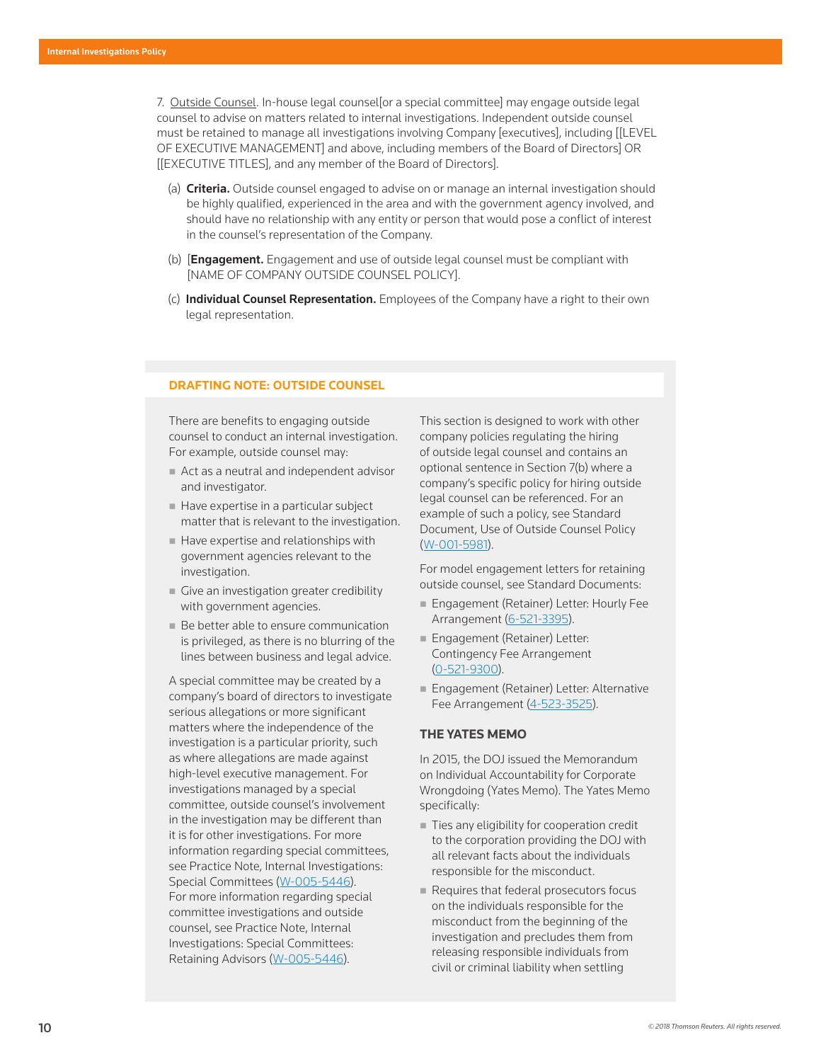7. Outside Counsel. In-house legal counsel[or a special committee] may engage outside legal counsel to advise on matters related to internal investigations. Independent outside counsel must be retained to manage all investigations involving Company [executives], including [[LEVEL OF EXECUTIVE MANAGEMENT] and above, including members of the Board of Directors] OR [[EXECUTIVE TITLES], and any member of the Board of Directors].

- (a) **Criteria.** Outside counsel engaged to advise on or manage an internal investigation should be highly qualified, experienced in the area and with the government agency involved, and should have no relationship with any entity or person that would pose a conflict of interest in the counsel's representation of the Company.
- (b) **[Engagement.** Engagement and use of outside legal counsel must be compliant with [NAME OF COMPANY OUTSIDE COUNSEL POLICY].
- (c) Individual Counsel Representation. Employees of the Company have a right to their own legal representation.

## **DRAFTING NOTE: OUTSIDE COUNSEL**

There are benefits to engaging outside counsel to conduct an internal investigation. For example, outside counsel may:

- Act as a neutral and independent advisor and investigator.
- Have expertise in a particular subject matter that is relevant to the investigation.
- $\blacksquare$  Have expertise and relationships with government agencies relevant to the investigation.
- Give an investigation greater credibility with government agencies.
- Be better able to ensure communication is privileged, as there is no blurring of the lines between business and legal advice.

A special committee may be created by a company's board of directors to investigate serious allegations or more significant matters where the independence of the investigation is a particular priority, such as where allegations are made against high-level executive management. For investigations managed by a special committee, outside counsel's involvement in the investigation may be different than it is for other investigations. For more information regarding special committees, see Practice Note, Internal Investigations: Special Committees (W-005-5446). For more information regarding special committee investigations and outside counsel, see Practice Note, Internal Investigations: Special Committees: Retaining Advisors (W-005-5446).

This section is designed to work with other company policies regulating the hiring of outside legal counsel and contains an optional sentence in Section 7(b) where a company's specific policy for hiring outside legal counsel can be referenced. For an example of such a policy, see Standard Document, Use of Outside Counsel Policy (W-001-5981).

For model engagement letters for retaining outside counsel, see Standard Documents:

- **Engagement (Retainer) Letter: Hourly Fee** Arrangement (6-521-3395).
- **Engagement (Retainer) Letter:** Contingency Fee Arrangement (0-521-9300).
- **Engagement (Retainer) Letter: Alternative** Fee Arrangement (4-523-3525).

#### **THE YATES MEMO**

In 2015, the DOJ issued the Memorandum on Individual Accountability for Corporate Wrongdoing (Yates Memo). The Yates Memo specifically:

- Ties any eligibility for cooperation credit to the corporation providing the DOJ with all relevant facts about the individuals responsible for the misconduct.
- Requires that federal prosecutors focus on the individuals responsible for the misconduct from the beginning of the investigation and precludes them from releasing responsible individuals from civil or criminal liability when settling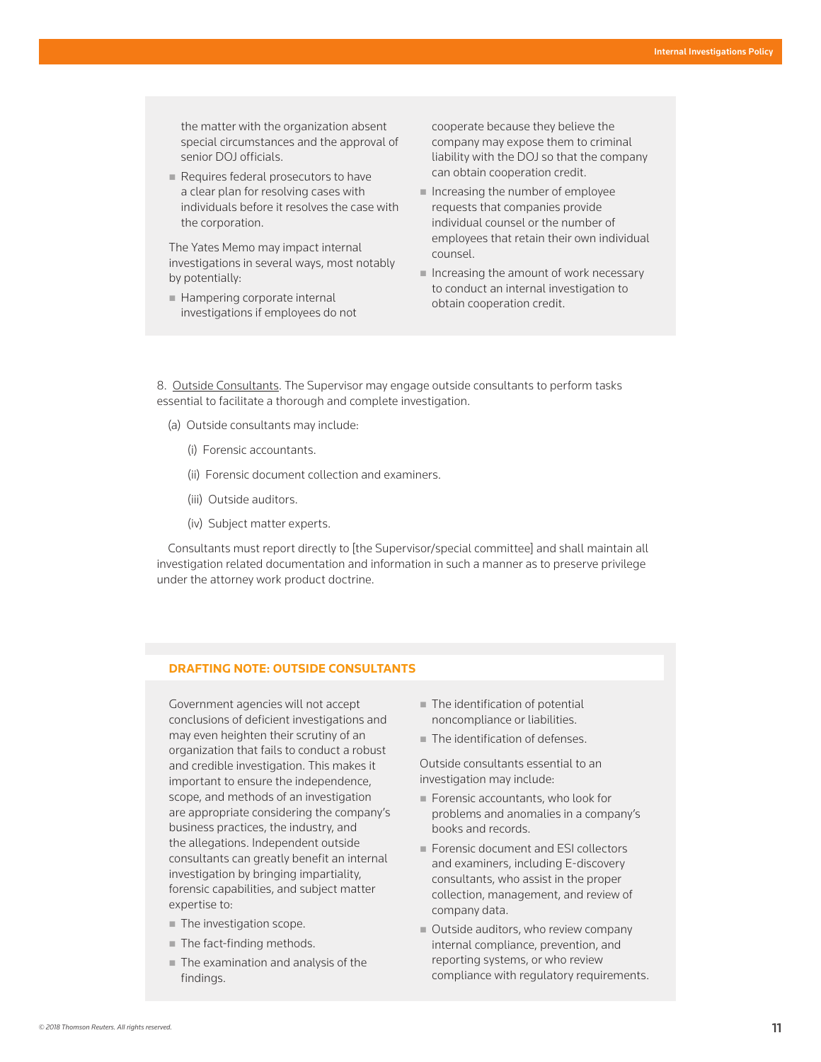the matter with the organization absent special circumstances and the approval of senior DOJ officials.

Requires federal prosecutors to have a clear plan for resolving cases with individuals before it resolves the case with the corporation.

The Yates Memo may impact internal investigations in several ways, most notably by potentially:

Hampering corporate internal investigations if employees do not cooperate because they believe the company may expose them to criminal liability with the DOJ so that the company can obtain cooperation credit.

- $\blacksquare$  Increasing the number of employee requests that companies provide individual counsel or the number of employees that retain their own individual counsel.
- $\blacksquare$  Increasing the amount of work necessary to conduct an internal investigation to obtain cooperation credit.

8. Outside Consultants. The Supervisor may engage outside consultants to perform tasks essential to facilitate a thorough and complete investigation.

- (a) Outside consultants may include:
	- (i) Forensic accountants.
	- (ii) Forensic document collection and examiners.
	- (iii) Outside auditors.
	- (iv) Subject matter experts.

 Consultants must report directly to [the Supervisor/special committee] and shall maintain all investigation related documentation and information in such a manner as to preserve privilege under the attorney work product doctrine.

#### **DRAFTING NOTE: OUTSIDE CONSULTANTS**

Government agencies will not accept conclusions of deficient investigations and may even heighten their scrutiny of an organization that fails to conduct a robust and credible investigation. This makes it important to ensure the independence, scope, and methods of an investigation are appropriate considering the company's business practices, the industry, and the allegations. Independent outside consultants can greatly benefit an internal investigation by bringing impartiality, forensic capabilities, and subject matter expertise to:

- The investigation scope.
- The fact-finding methods.
- The examination and analysis of the findings.
- The identification of potential noncompliance or liabilities.
- The identification of defenses.

Outside consultants essential to an investigation may include:

- Forensic accountants, who look for problems and anomalies in a company's books and records.
- Forensic document and ESI collectors and examiners, including E-discovery consultants, who assist in the proper collection, management, and review of company data.
- Outside auditors, who review company internal compliance, prevention, and reporting systems, or who review compliance with regulatory requirements.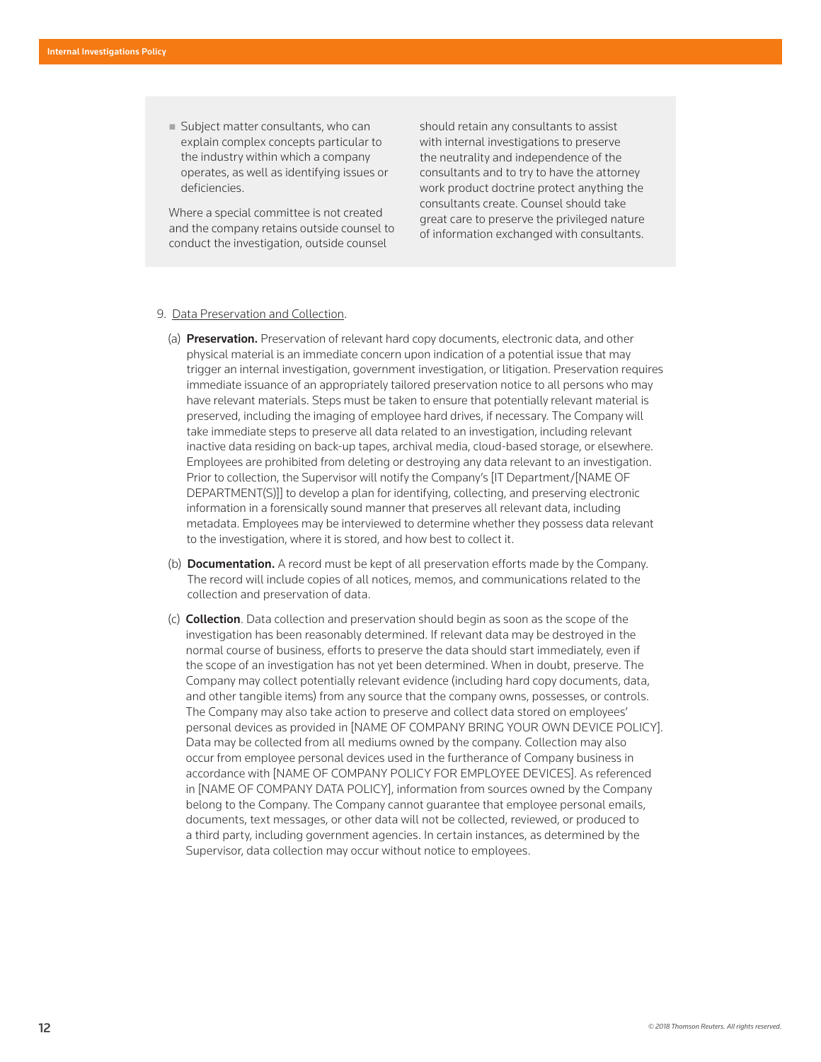Subject matter consultants, who can explain complex concepts particular to the industry within which a company operates, as well as identifying issues or deficiencies.

Where a special committee is not created and the company retains outside counsel to conduct the investigation, outside counsel

should retain any consultants to assist with internal investigations to preserve the neutrality and independence of the consultants and to try to have the attorney work product doctrine protect anything the consultants create. Counsel should take great care to preserve the privileged nature of information exchanged with consultants.

#### 9. Data Preservation and Collection.

- (a) Preservation. Preservation of relevant hard copy documents, electronic data, and other physical material is an immediate concern upon indication of a potential issue that may trigger an internal investigation, government investigation, or litigation. Preservation requires immediate issuance of an appropriately tailored preservation notice to all persons who may have relevant materials. Steps must be taken to ensure that potentially relevant material is preserved, including the imaging of employee hard drives, if necessary. The Company will take immediate steps to preserve all data related to an investigation, including relevant inactive data residing on back-up tapes, archival media, cloud-based storage, or elsewhere. Employees are prohibited from deleting or destroying any data relevant to an investigation. Prior to collection, the Supervisor will notify the Company's [IT Department/[NAME OF DEPARTMENT(S)]] to develop a plan for identifying, collecting, and preserving electronic information in a forensically sound manner that preserves all relevant data, including metadata. Employees may be interviewed to determine whether they possess data relevant to the investigation, where it is stored, and how best to collect it.
- (b) **Documentation.** A record must be kept of all preservation efforts made by the Company. The record will include copies of all notices, memos, and communications related to the collection and preservation of data.
- (c) Collection. Data collection and preservation should begin as soon as the scope of the investigation has been reasonably determined. If relevant data may be destroyed in the normal course of business, efforts to preserve the data should start immediately, even if the scope of an investigation has not yet been determined. When in doubt, preserve. The Company may collect potentially relevant evidence (including hard copy documents, data, and other tangible items) from any source that the company owns, possesses, or controls. The Company may also take action to preserve and collect data stored on employees' personal devices as provided in [NAME OF COMPANY BRING YOUR OWN DEVICE POLICY]. Data may be collected from all mediums owned by the company. Collection may also occur from employee personal devices used in the furtherance of Company business in accordance with [NAME OF COMPANY POLICY FOR EMPLOYEE DEVICES]. As referenced in [NAME OF COMPANY DATA POLICY], information from sources owned by the Company belong to the Company. The Company cannot guarantee that employee personal emails, documents, text messages, or other data will not be collected, reviewed, or produced to a third party, including government agencies. In certain instances, as determined by the Supervisor, data collection may occur without notice to employees.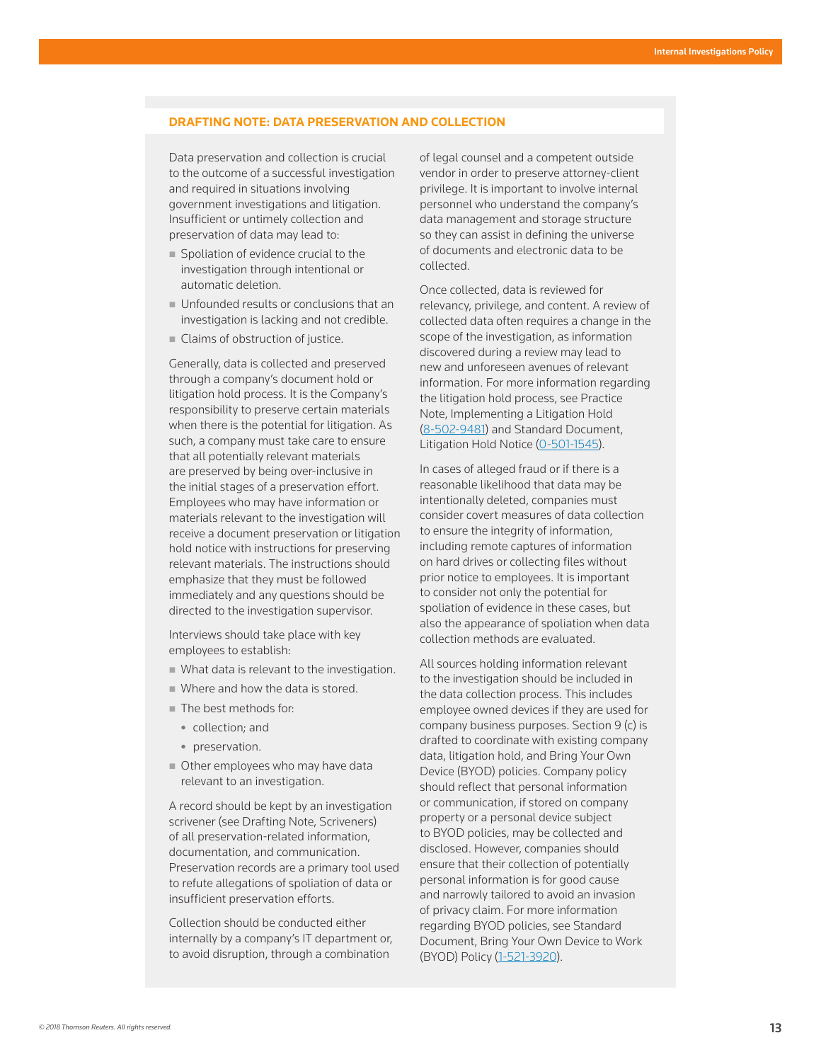# **DRAFTING NOTE: DATA PRESERVATION AND COLLECTION**

Data preservation and collection is crucial to the outcome of a successful investigation and required in situations involving government investigations and litigation. Insufficient or untimely collection and preservation of data may lead to:

- Spoliation of evidence crucial to the investigation through intentional or automatic deletion.
- **Unfounded results or conclusions that an** investigation is lacking and not credible.
- Claims of obstruction of justice.

Generally, data is collected and preserved through a company's document hold or litigation hold process. It is the Company's responsibility to preserve certain materials when there is the potential for litigation. As such, a company must take care to ensure that all potentially relevant materials are preserved by being over-inclusive in the initial stages of a preservation effort. Employees who may have information or materials relevant to the investigation will receive a document preservation or litigation hold notice with instructions for preserving relevant materials. The instructions should emphasize that they must be followed immediately and any questions should be directed to the investigation supervisor.

Interviews should take place with key employees to establish:

- What data is relevant to the investigation.
- Where and how the data is stored.
- The best methods for:
	- collection: and
	- preservation.
- Other employees who may have data relevant to an investigation.

A record should be kept by an investigation scrivener (see Drafting Note, Scriveners) of all preservation-related information, documentation, and communication. Preservation records are a primary tool used to refute allegations of spoliation of data or insufficient preservation efforts.

Collection should be conducted either internally by a company's IT department or, to avoid disruption, through a combination

of legal counsel and a competent outside vendor in order to preserve attorney-client privilege. It is important to involve internal personnel who understand the company's data management and storage structure so they can assist in defining the universe of documents and electronic data to be collected.

Once collected, data is reviewed for relevancy, privilege, and content. A review of collected data often requires a change in the scope of the investigation, as information discovered during a review may lead to new and unforeseen avenues of relevant information. For more information regarding the litigation hold process, see Practice Note, Implementing a Litigation Hold (8-502-9481) and Standard Document, Litigation Hold Notice (0-501-1545).

In cases of alleged fraud or if there is a reasonable likelihood that data may be intentionally deleted, companies must consider covert measures of data collection to ensure the integrity of information, including remote captures of information on hard drives or collecting files without prior notice to employees. It is important to consider not only the potential for spoliation of evidence in these cases, but also the appearance of spoliation when data collection methods are evaluated.

All sources holding information relevant to the investigation should be included in the data collection process. This includes employee owned devices if they are used for company business purposes. Section 9 (c) is drafted to coordinate with existing company data, litigation hold, and Bring Your Own Device (BYOD) policies. Company policy should reflect that personal information or communication, if stored on company property or a personal device subject to BYOD policies, may be collected and disclosed. However, companies should ensure that their collection of potentially personal information is for good cause and narrowly tailored to avoid an invasion of privacy claim. For more information regarding BYOD policies, see Standard Document, Bring Your Own Device to Work (BYOD) Policy (1-521-3920).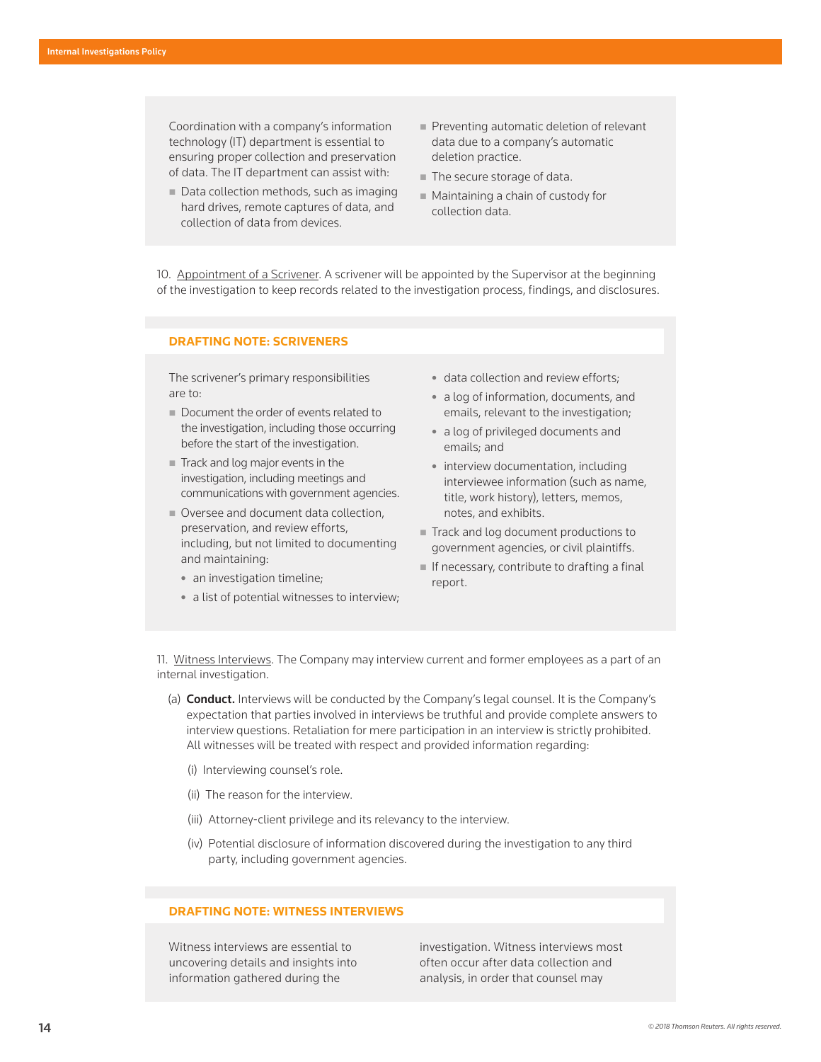Coordination with a company's information technology (IT) department is essential to ensuring proper collection and preservation of data. The IT department can assist with:

- Data collection methods, such as imaging hard drives, remote captures of data, and collection of data from devices.
- Preventing automatic deletion of relevant data due to a company's automatic deletion practice.
- The secure storage of data.
- Maintaining a chain of custody for collection data.

10. Appointment of a Scrivener. A scrivener will be appointed by the Supervisor at the beginning of the investigation to keep records related to the investigation process, findings, and disclosures.

## **DRAFTING NOTE: SCRIVENERS**

The scrivener's primary responsibilities are to:

- Document the order of events related to the investigation, including those occurring before the start of the investigation.
- Track and log major events in the investigation, including meetings and communications with government agencies.
- Oversee and document data collection, preservation, and review efforts, including, but not limited to documenting and maintaining:
	- an investigation timeline;
	- $\bullet$  a list of potential witnesses to interview;
- data collection and review efforts;
- a log of information, documents, and emails, relevant to the investigation;
- a log of privileged documents and emails; and
- interview documentation, including interviewee information (such as name, title, work history), letters, memos, notes, and exhibits.
- Track and log document productions to government agencies, or civil plaintiffs.
- $\blacksquare$  If necessary, contribute to drafting a final report.

11. Witness Interviews. The Company may interview current and former employees as a part of an internal investigation.

- (a) **Conduct.** Interviews will be conducted by the Company's legal counsel. It is the Company's expectation that parties involved in interviews be truthful and provide complete answers to interview questions. Retaliation for mere participation in an interview is strictly prohibited. All witnesses will be treated with respect and provided information regarding:
	- (i) Interviewing counsel's role.
	- (ii) The reason for the interview.
	- (iii) Attorney-client privilege and its relevancy to the interview.
	- (iv) Potential disclosure of information discovered during the investigation to any third party, including government agencies.

## **DRAFTING NOTE: WITNESS INTERVIEWS**

Witness interviews are essential to uncovering details and insights into information gathered during the

investigation. Witness interviews most often occur after data collection and analysis, in order that counsel may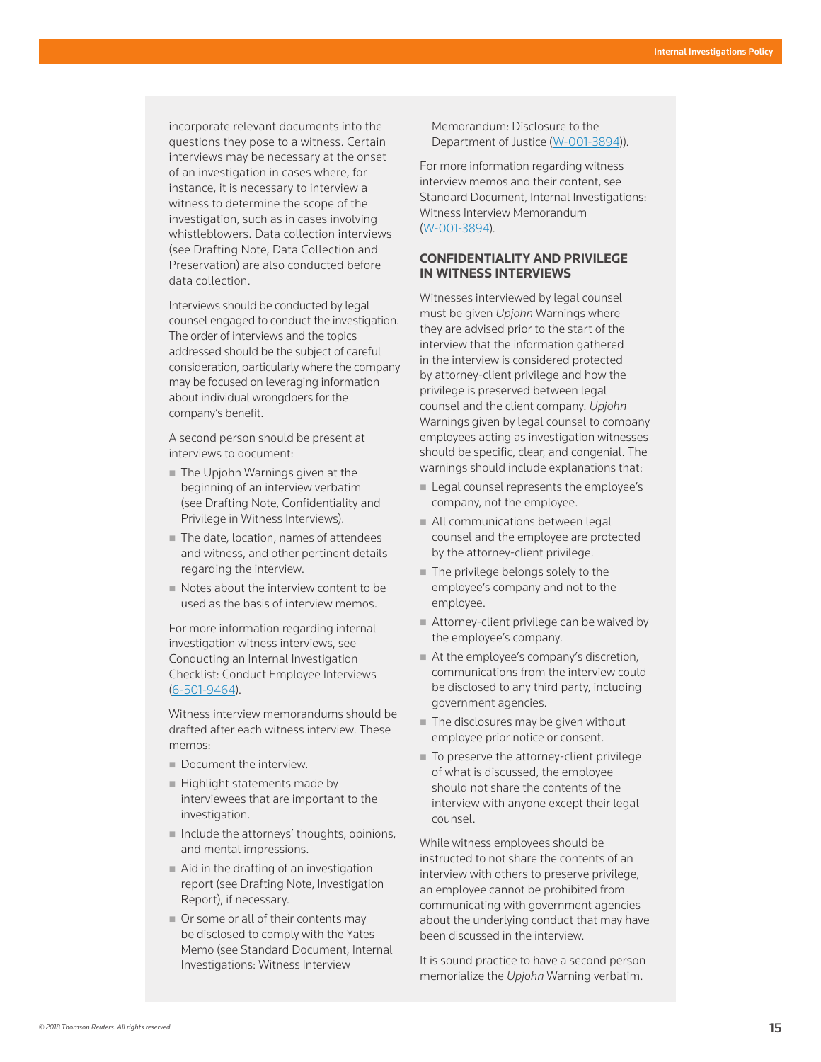incorporate relevant documents into the questions they pose to a witness. Certain interviews may be necessary at the onset of an investigation in cases where, for instance, it is necessary to interview a witness to determine the scope of the investigation, such as in cases involving whistleblowers. Data collection interviews (see Drafting Note, Data Collection and Preservation) are also conducted before data collection.

Interviews should be conducted by legal counsel engaged to conduct the investigation. The order of interviews and the topics addressed should be the subject of careful consideration, particularly where the company may be focused on leveraging information about individual wrongdoers for the company's benefit.

A second person should be present at interviews to document:

- The Upjohn Warnings given at the beginning of an interview verbatim (see Drafting Note, Confidentiality and Privilege in Witness Interviews).
- The date, location, names of attendees and witness, and other pertinent details regarding the interview.
- Notes about the interview content to be used as the basis of interview memos.

For more information regarding internal investigation witness interviews, see Conducting an Internal Investigation Checklist: Conduct Employee Interviews (6-501-9464).

Witness interview memorandums should be drafted after each witness interview. These memos:

- Document the interview.
- $\blacksquare$  Highlight statements made by interviewees that are important to the investigation.
- Include the attorneys' thoughts, opinions, and mental impressions.
- Aid in the drafting of an investigation report (see Drafting Note, Investigation Report), if necessary.
- Or some or all of their contents may be disclosed to comply with the Yates Memo (see Standard Document, Internal Investigations: Witness Interview

Memorandum: Disclosure to the Department of Justice (W-001-3894)).

For more information regarding witness interview memos and their content, see Standard Document, Internal Investigations: Witness Interview Memorandum (W-001-3894).

## **CONFIDENTIALITY AND PRIVILEGE IN WITNESS INTERVIEWS**

Witnesses interviewed by legal counsel must be given *Upjohn* Warnings where they are advised prior to the start of the interview that the information gathered in the interview is considered protected by attorney-client privilege and how the privilege is preserved between legal counsel and the client company. *Upjohn* Warnings given by legal counsel to company employees acting as investigation witnesses should be specific, clear, and congenial. The warnings should include explanations that:

- Legal counsel represents the employee's company, not the employee.
- All communications between legal counsel and the employee are protected by the attorney-client privilege.
- The privilege belongs solely to the employee's company and not to the employee.
- Attorney-client privilege can be waived by the employee's company.
- At the employee's company's discretion, communications from the interview could be disclosed to any third party, including government agencies.
- $\blacksquare$  The disclosures may be given without employee prior notice or consent.
- $\blacksquare$  To preserve the attorney-client privilege of what is discussed, the employee should not share the contents of the interview with anyone except their legal counsel.

While witness employees should be instructed to not share the contents of an interview with others to preserve privilege, an employee cannot be prohibited from communicating with government agencies about the underlying conduct that may have been discussed in the interview.

It is sound practice to have a second person memorialize the *Upjohn* Warning verbatim.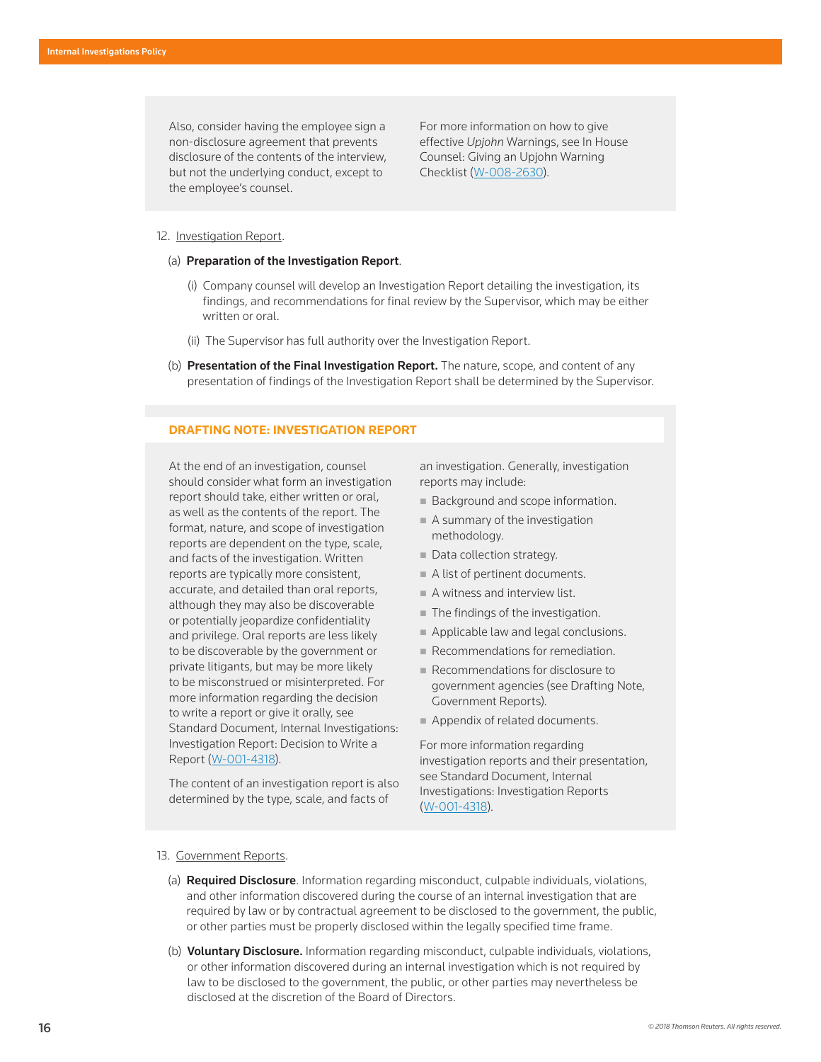Also, consider having the employee sign a non-disclosure agreement that prevents disclosure of the contents of the interview, but not the underlying conduct, except to the employee's counsel.

For more information on how to give effective *Upjohn* Warnings, see In House Counsel: Giving an Upjohn Warning Checklist (W-008-2630).

#### 12. Investigation Report.

#### (a) Preparation of the Investigation Report.

- (i) Company counsel will develop an Investigation Report detailing the investigation, its findings, and recommendations for final review by the Supervisor, which may be either written or oral.
- (ii) The Supervisor has full authority over the Investigation Report.
- (b) Presentation of the Final Investigation Report. The nature, scope, and content of any presentation of findings of the Investigation Report shall be determined by the Supervisor.

## **DRAFTING NOTE: INVESTIGATION REPORT**

At the end of an investigation, counsel should consider what form an investigation report should take, either written or oral, as well as the contents of the report. The format, nature, and scope of investigation reports are dependent on the type, scale, and facts of the investigation. Written reports are typically more consistent, accurate, and detailed than oral reports, although they may also be discoverable or potentially jeopardize confidentiality and privilege. Oral reports are less likely to be discoverable by the government or private litigants, but may be more likely to be misconstrued or misinterpreted. For more information regarding the decision to write a report or give it orally, see Standard Document, Internal Investigations: Investigation Report: Decision to Write a Report (W-001-4318).

The content of an investigation report is also determined by the type, scale, and facts of

an investigation. Generally, investigation reports may include:

- **Background and scope information.**
- A summary of the investigation methodology.
- Data collection strategy.
- A list of pertinent documents.
- A witness and interview list.
- The findings of the investigation.
- Applicable law and legal conclusions.
- Recommendations for remediation.
- Recommendations for disclosure to government agencies (see Drafting Note, Government Reports).
- Appendix of related documents.

For more information regarding investigation reports and their presentation, see Standard Document, Internal Investigations: Investigation Reports (W-001-4318).

## 13. Government Reports.

- (a) **Required Disclosure**. Information regarding misconduct, culpable individuals, violations, and other information discovered during the course of an internal investigation that are required by law or by contractual agreement to be disclosed to the government, the public, or other parties must be properly disclosed within the legally specified time frame.
- (b) Voluntary Disclosure. Information regarding misconduct, culpable individuals, violations, or other information discovered during an internal investigation which is not required by law to be disclosed to the government, the public, or other parties may nevertheless be disclosed at the discretion of the Board of Directors.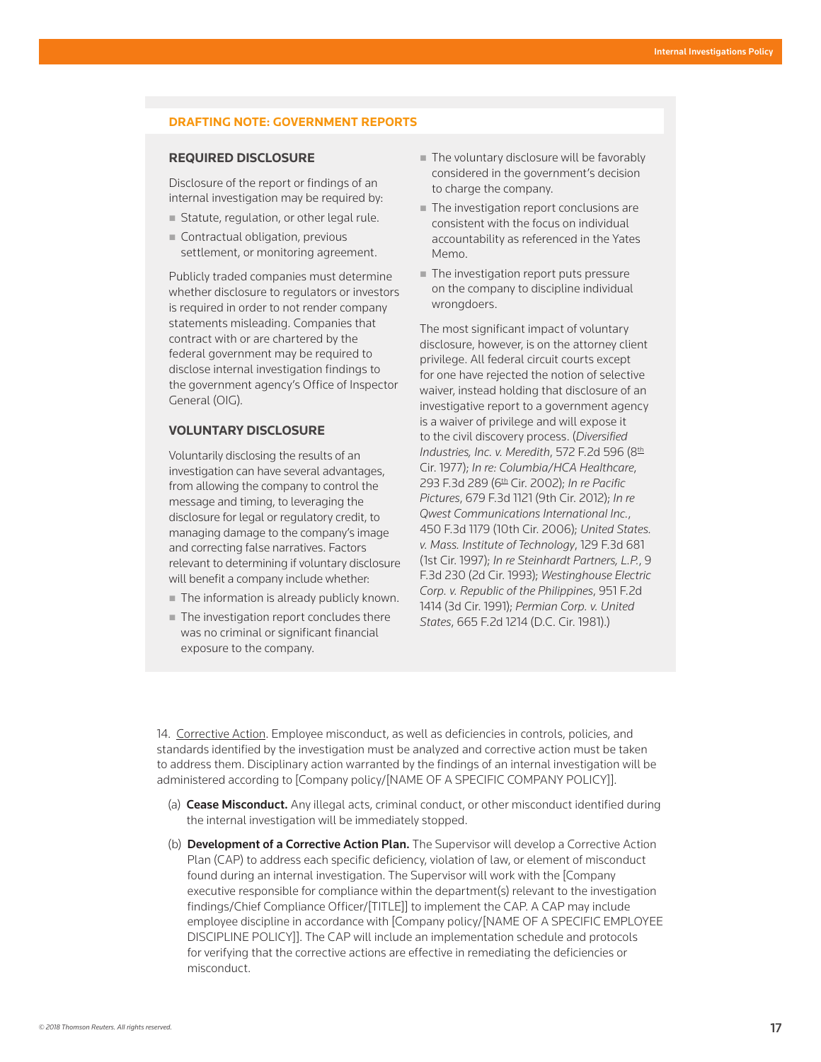## **DRAFTING NOTE: GOVERNMENT REPORTS**

## **REQUIRED DISCLOSURE**

Disclosure of the report or findings of an internal investigation may be required by:

- Statute, regulation, or other legal rule.
- Contractual obligation, previous settlement, or monitoring agreement.

Publicly traded companies must determine whether disclosure to regulators or investors is required in order to not render company statements misleading. Companies that contract with or are chartered by the federal government may be required to disclose internal investigation findings to the government agency's Office of Inspector General (OIG).

## **VOLUNTARY DISCLOSURE**

Voluntarily disclosing the results of an investigation can have several advantages, from allowing the company to control the message and timing, to leveraging the disclosure for legal or regulatory credit, to managing damage to the company's image and correcting false narratives. Factors relevant to determining if voluntary disclosure will benefit a company include whether:

- The information is already publicly known.
- The investigation report concludes there was no criminal or significant financial exposure to the company.
- $\blacksquare$  The voluntary disclosure will be favorably considered in the government's decision to charge the company.
- The investigation report conclusions are consistent with the focus on individual accountability as referenced in the Yates Memo.
- The investigation report puts pressure on the company to discipline individual wrongdoers.

The most significant impact of voluntary disclosure, however, is on the attorney client privilege. All federal circuit courts except for one have rejected the notion of selective waiver, instead holding that disclosure of an investigative report to a government agency is a waiver of privilege and will expose it to the civil discovery process. (*Diversified Industries, Inc. v. Meredith*, 572 F.2d 596 (8<sup>th</sup> Cir. 1977); *In re: Columbia/HCA Healthcare*, 293 F.3d 289 (6th Cir. 2002); *In re Pacific Pictures*, 679 F.3d 1121 (9th Cir. 2012); *In re Qwest Communications International Inc.*, 450 F.3d 1179 (10th Cir. 2006); *United States. v. Mass. Institute of Technology*, 129 F.3d 681 (1st Cir. 1997); *In re Steinhardt Partners, L.P.*, 9 F.3d 230 (2d Cir. 1993); *Westinghouse Electric Corp. v. Republic of the Philippines*, 951 F.2d 1414 (3d Cir. 1991); *Permian Corp. v. United States*, 665 F.2d 1214 (D.C. Cir. 1981).)

14. Corrective Action. Employee misconduct, as well as deficiencies in controls, policies, and standards identified by the investigation must be analyzed and corrective action must be taken to address them. Disciplinary action warranted by the findings of an internal investigation will be administered according to [Company policy/[NAME OF A SPECIFIC COMPANY POLICY]].

- (a) **Cease Misconduct.** Any illegal acts, criminal conduct, or other misconduct identified during the internal investigation will be immediately stopped.
- (b) Development of a Corrective Action Plan. The Supervisor will develop a Corrective Action Plan (CAP) to address each specific deficiency, violation of law, or element of misconduct found during an internal investigation. The Supervisor will work with the [Company executive responsible for compliance within the department(s) relevant to the investigation findings/Chief Compliance Officer/[TITLE]] to implement the CAP. A CAP may include employee discipline in accordance with [Company policy/[NAME OF A SPECIFIC EMPLOYEE DISCIPLINE POLICY]]. The CAP will include an implementation schedule and protocols for verifying that the corrective actions are effective in remediating the deficiencies or misconduct.